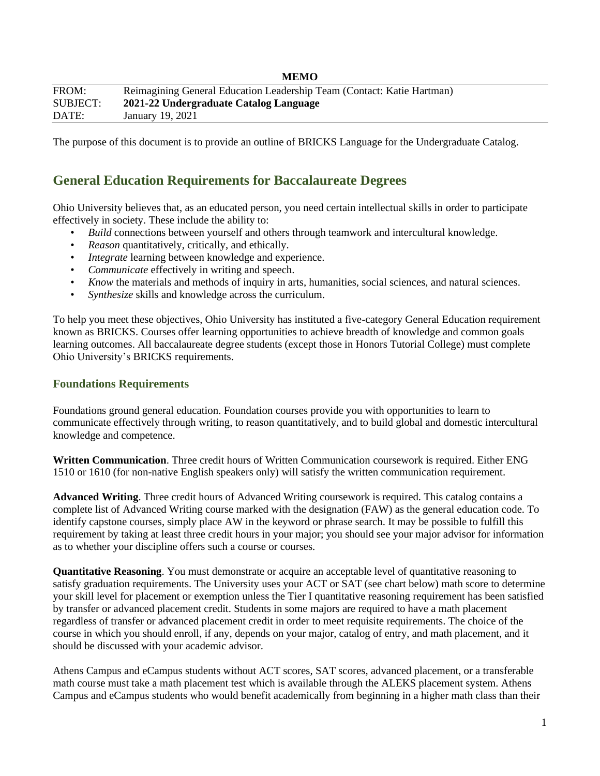|          | www                                                                    |
|----------|------------------------------------------------------------------------|
| FROM:    | Reimagining General Education Leadership Team (Contact: Katie Hartman) |
| SUBJECT: | 2021-22 Undergraduate Catalog Language                                 |
| DATE:    | January 19, 2021                                                       |

The purpose of this document is to provide an outline of BRICKS Language for the Undergraduate Catalog.

**MEMO**

### **General Education Requirements for Baccalaureate Degrees**

Ohio University believes that, as an educated person, you need certain intellectual skills in order to participate effectively in society. These include the ability to:

- *Build* connections between yourself and others through teamwork and intercultural knowledge.
- *Reason* quantitatively, critically, and ethically.
- *Integrate* learning between knowledge and experience.
- *Communicate* effectively in writing and speech.
- *Know* the materials and methods of inquiry in arts, humanities, social sciences, and natural sciences.
- *Synthesize* skills and knowledge across the curriculum.

To help you meet these objectives, Ohio University has instituted a five-category General Education requirement known as BRICKS. Courses offer learning opportunities to achieve breadth of knowledge and common goals learning outcomes. All baccalaureate degree students (except those in Honors Tutorial College) must complete Ohio University's BRICKS requirements.

#### **Foundations Requirements**

Foundations ground general education. Foundation courses provide you with opportunities to learn to communicate effectively through writing, to reason quantitatively, and to build global and domestic intercultural knowledge and competence.

**Written Communication**. Three credit hours of Written Communication coursework is required. Either ENG 1510 or 1610 (for non-native English speakers only) will satisfy the written communication requirement.

**Advanced Writing**. Three credit hours of Advanced Writing coursework is required. This catalog contains a complete list of Advanced Writing course marked with the designation (FAW) as the general education code. To identify capstone courses, simply place AW in the keyword or phrase search. It may be possible to fulfill this requirement by taking at least three credit hours in your major; you should see your major advisor for information as to whether your discipline offers such a course or courses.

**Quantitative Reasoning**. You must demonstrate or acquire an acceptable level of quantitative reasoning to satisfy graduation requirements. The University uses your ACT or SAT (see chart below) math score to determine your skill level for placement or exemption unless the Tier I quantitative reasoning requirement has been satisfied by transfer or advanced placement credit. Students in some majors are required to have a math placement regardless of transfer or advanced placement credit in order to meet requisite requirements. The choice of the course in which you should enroll, if any, depends on your major, catalog of entry, and math placement, and it should be discussed with your academic advisor.

Athens Campus and eCampus students without ACT scores, SAT scores, advanced placement, or a transferable math course must take a math placement test which is available through the ALEKS placement system. Athens Campus and eCampus students who would benefit academically from beginning in a higher math class than their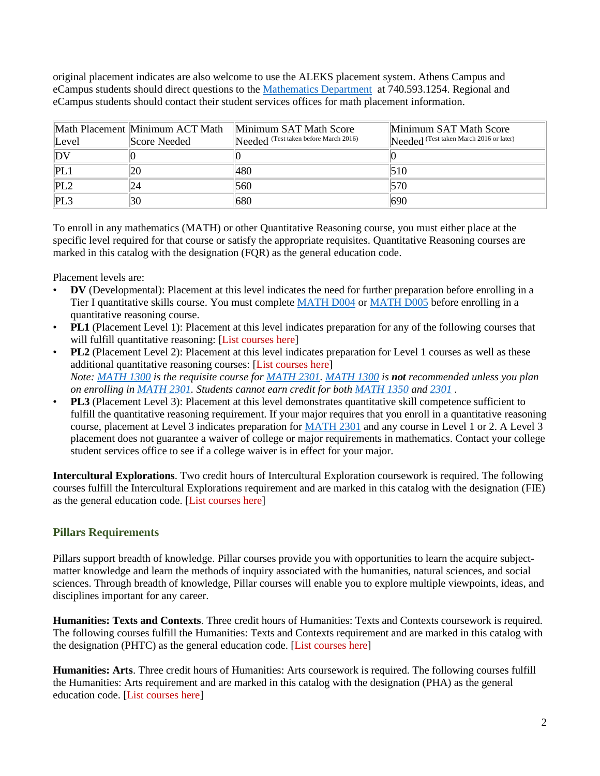original placement indicates are also welcome to use the ALEKS placement system. Athens Campus and eCampus students should direct questions to the [Mathematics Department](https://www.catalogs.ohio.edu/preview_entity.php?catoid=67&ent_oid=5159) at 740.593.1254. Regional and eCampus students should contact their student services offices for math placement information.

| Level           | Math Placement Minimum ACT Math<br>Score Needed | Minimum SAT Math Score<br>Needed (Test taken before March 2016) | Minimum SAT Math Score<br>Needed (Test taken March 2016 or later) |
|-----------------|-------------------------------------------------|-----------------------------------------------------------------|-------------------------------------------------------------------|
| DV              |                                                 |                                                                 |                                                                   |
| PL1             | 20                                              | 480                                                             | 510                                                               |
| PL <sub>2</sub> | 24                                              | 560                                                             | 570                                                               |
| PL3             | 30                                              | 680                                                             | 690                                                               |

To enroll in any mathematics (MATH) or other Quantitative Reasoning course, you must either place at the specific level required for that course or satisfy the appropriate requisites. Quantitative Reasoning courses are marked in this catalog with the designation (FQR) as the general education code.

Placement levels are:

- **DV** (Developmental): Placement at this level indicates the need for further preparation before enrolling in a Tier I quantitative skills course. You must complete [MATH D004](https://www.catalogs.ohio.edu/content.php?catoid=67&navoid=5511#tt3811) or [MATH D005](https://www.catalogs.ohio.edu/content.php?catoid=67&navoid=5511#tt7427) before enrolling in a quantitative reasoning course.
- **PL1** (Placement Level 1): Placement at this level indicates preparation for any of the following courses that will fulfill quantitative reasoning: [List courses here]
- **PL2** (Placement Level 2): Placement at this level indicates preparation for Level 1 courses as well as these additional quantitative reasoning courses: [List courses here] *Note: [MATH 1300](https://www.catalogs.ohio.edu/content.php?catoid=67&navoid=5511#tt3419) is the requisite course for [MATH 2301.](https://www.catalogs.ohio.edu/content.php?catoid=67&navoid=5511#tt9336) [MATH 1300](https://www.catalogs.ohio.edu/content.php?catoid=67&navoid=5511#tt4489) is not recommended unless you plan on enrolling in [MATH 2301.](https://www.catalogs.ohio.edu/content.php?catoid=67&navoid=5511#tt4730) Students cannot earn credit for both [MATH 1350](https://www.catalogs.ohio.edu/content.php?catoid=67&navoid=5511#tt6900) and [2301](https://www.catalogs.ohio.edu/content.php?catoid=67&navoid=5511#tt7919) .*
- **PL3** (Placement Level 3): Placement at this level demonstrates quantitative skill competence sufficient to fulfill the quantitative reasoning requirement. If your major requires that you enroll in a quantitative reasoning course, placement at Level 3 indicates preparation for [MATH 2301](https://www.catalogs.ohio.edu/content.php?catoid=67&navoid=5511#tt5509) and any course in Level 1 or 2. A Level 3 placement does not guarantee a waiver of college or major requirements in mathematics. Contact your college student services office to see if a college waiver is in effect for your major.

**Intercultural Explorations**. Two credit hours of Intercultural Exploration coursework is required. The following courses fulfill the Intercultural Explorations requirement and are marked in this catalog with the designation (FIE) as the general education code. [List courses here]

#### **Pillars Requirements**

Pillars support breadth of knowledge. Pillar courses provide you with opportunities to learn the acquire subjectmatter knowledge and learn the methods of inquiry associated with the humanities, natural sciences, and social sciences. Through breadth of knowledge, Pillar courses will enable you to explore multiple viewpoints, ideas, and disciplines important for any career.

**Humanities: Texts and Contexts**. Three credit hours of Humanities: Texts and Contexts coursework is required. The following courses fulfill the Humanities: Texts and Contexts requirement and are marked in this catalog with the designation (PHTC) as the general education code. [List courses here]

**Humanities: Arts**. Three credit hours of Humanities: Arts coursework is required. The following courses fulfill the Humanities: Arts requirement and are marked in this catalog with the designation (PHA) as the general education code. [List courses here]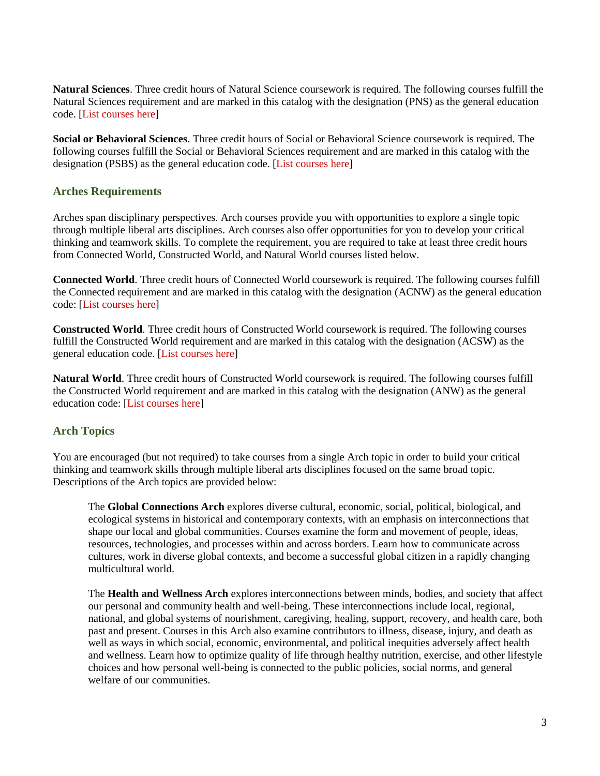**Natural Sciences**. Three credit hours of Natural Science coursework is required. The following courses fulfill the Natural Sciences requirement and are marked in this catalog with the designation (PNS) as the general education code. [List courses here]

**Social or Behavioral Sciences**. Three credit hours of Social or Behavioral Science coursework is required. The following courses fulfill the Social or Behavioral Sciences requirement and are marked in this catalog with the designation (PSBS) as the general education code. [List courses here]

#### **Arches Requirements**

Arches span disciplinary perspectives. Arch courses provide you with opportunities to explore a single topic through multiple liberal arts disciplines. Arch courses also offer opportunities for you to develop your critical thinking and teamwork skills. To complete the requirement, you are required to take at least three credit hours from Connected World, Constructed World, and Natural World courses listed below.

**Connected World**. Three credit hours of Connected World coursework is required. The following courses fulfill the Connected requirement and are marked in this catalog with the designation (ACNW) as the general education code: [List courses here]

**Constructed World**. Three credit hours of Constructed World coursework is required. The following courses fulfill the Constructed World requirement and are marked in this catalog with the designation (ACSW) as the general education code. [List courses here]

**Natural World**. Three credit hours of Constructed World coursework is required. The following courses fulfill the Constructed World requirement and are marked in this catalog with the designation (ANW) as the general education code: [List courses here]

#### **Arch Topics**

You are encouraged (but not required) to take courses from a single Arch topic in order to build your critical thinking and teamwork skills through multiple liberal arts disciplines focused on the same broad topic. Descriptions of the Arch topics are provided below:

The **Global Connections Arch** explores diverse cultural, economic, social, political, biological, and ecological systems in historical and contemporary contexts, with an emphasis on interconnections that shape our local and global communities. Courses examine the form and movement of people, ideas, resources, technologies, and processes within and across borders. Learn how to communicate across cultures, work in diverse global contexts, and become a successful global citizen in a rapidly changing multicultural world.

The **Health and Wellness Arch** explores interconnections between minds, bodies, and society that affect our personal and community health and well-being. These interconnections include local, regional, national, and global systems of nourishment, caregiving, healing, support, recovery, and health care, both past and present. Courses in this Arch also examine contributors to illness, disease, injury, and death as well as ways in which social, economic, environmental, and political inequities adversely affect health and wellness. Learn how to optimize quality of life through healthy nutrition, exercise, and other lifestyle choices and how personal well-being is connected to the public policies, social norms, and general welfare of our communities.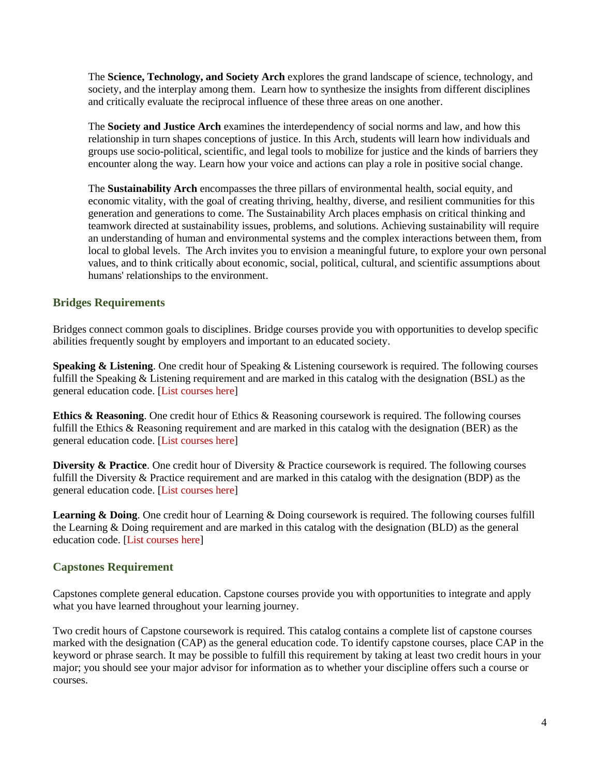The **Science, Technology, and Society Arch** explores the grand landscape of science, technology, and society, and the interplay among them. Learn how to synthesize the insights from different disciplines and critically evaluate the reciprocal influence of these three areas on one another.

The **Society and Justice Arch** examines the interdependency of social norms and law, and how this relationship in turn shapes conceptions of justice. In this Arch, students will learn how individuals and groups use socio-political, scientific, and legal tools to mobilize for justice and the kinds of barriers they encounter along the way. Learn how your voice and actions can play a role in positive social change.

The **Sustainability Arch** encompasses the three pillars of environmental health, social equity, and economic vitality, with the goal of creating thriving, healthy, diverse, and resilient communities for this generation and generations to come. The Sustainability Arch places emphasis on critical thinking and teamwork directed at sustainability issues, problems, and solutions. Achieving sustainability will require an understanding of human and environmental systems and the complex interactions between them, from local to global levels. The Arch invites you to envision a meaningful future, to explore your own personal values, and to think critically about economic, social, political, cultural, and scientific assumptions about humans' relationships to the environment.

### **Bridges Requirements**

Bridges connect common goals to disciplines. Bridge courses provide you with opportunities to develop specific abilities frequently sought by employers and important to an educated society.

**Speaking & Listening**. One credit hour of Speaking & Listening coursework is required. The following courses fulfill the Speaking & Listening requirement and are marked in this catalog with the designation (BSL) as the general education code. [List courses here]

**Ethics & Reasoning**. One credit hour of Ethics & Reasoning coursework is required. The following courses fulfill the Ethics & Reasoning requirement and are marked in this catalog with the designation (BER) as the general education code. [List courses here]

**Diversity & Practice**. One credit hour of Diversity & Practice coursework is required. The following courses fulfill the Diversity & Practice requirement and are marked in this catalog with the designation (BDP) as the general education code. [List courses here]

**Learning & Doing**. One credit hour of Learning & Doing coursework is required. The following courses fulfill the Learning & Doing requirement and are marked in this catalog with the designation (BLD) as the general education code. [List courses here]

#### **Capstones Requirement**

Capstones complete general education. Capstone courses provide you with opportunities to integrate and apply what you have learned throughout your learning journey.

Two credit hours of Capstone coursework is required. This catalog contains a complete list of capstone courses marked with the designation (CAP) as the general education code. To identify capstone courses, place CAP in the keyword or phrase search. It may be possible to fulfill this requirement by taking at least two credit hours in your major; you should see your major advisor for information as to whether your discipline offers such a course or courses.